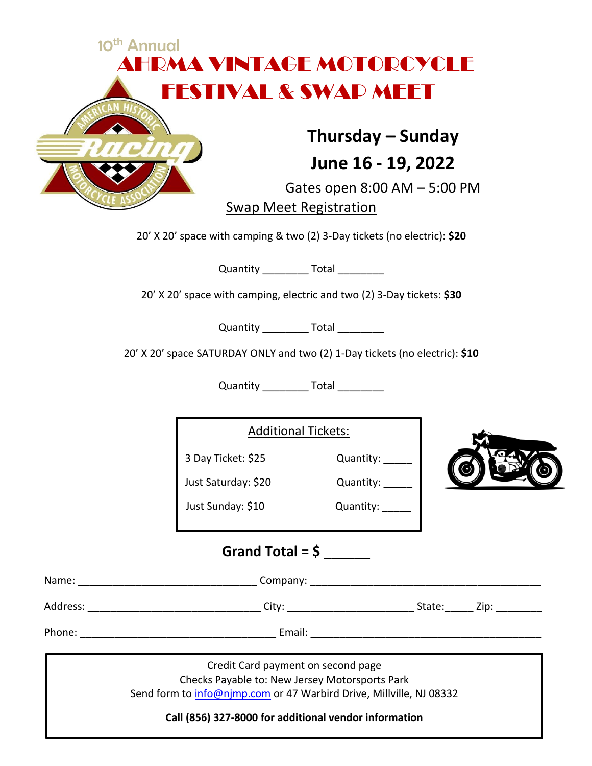|  |                                                                             | Thursday – Sunday<br>June 16 - 19, 2022<br>Gates open 8:00 AM - 5:00 PM<br><b>Swap Meet Registration</b> |  |
|--|-----------------------------------------------------------------------------|----------------------------------------------------------------------------------------------------------|--|
|  | 20' X 20' space with camping & two (2) 3-Day tickets (no electric): \$20    |                                                                                                          |  |
|  |                                                                             | Quantity _____________ Total ___________                                                                 |  |
|  | 20' X 20' space with camping, electric and two (2) 3-Day tickets: \$30      |                                                                                                          |  |
|  | 20' X 20' space SATURDAY ONLY and two (2) 1-Day tickets (no electric): \$10 | Quantity ____________ Total __________                                                                   |  |
|  |                                                                             | Quantity ___________ Total __________                                                                    |  |
|  |                                                                             | <b>Additional Tickets:</b>                                                                               |  |
|  | 3 Day Ticket: \$25                                                          | Quantity: _____                                                                                          |  |
|  | Just Saturday: \$20                                                         | Quantity: _____                                                                                          |  |
|  | Just Sunday: \$10                                                           | Quantity: _____                                                                                          |  |
|  |                                                                             | Grand Total = $\frac{6}{5}$                                                                              |  |
|  |                                                                             |                                                                                                          |  |
|  |                                                                             |                                                                                                          |  |
|  |                                                                             |                                                                                                          |  |